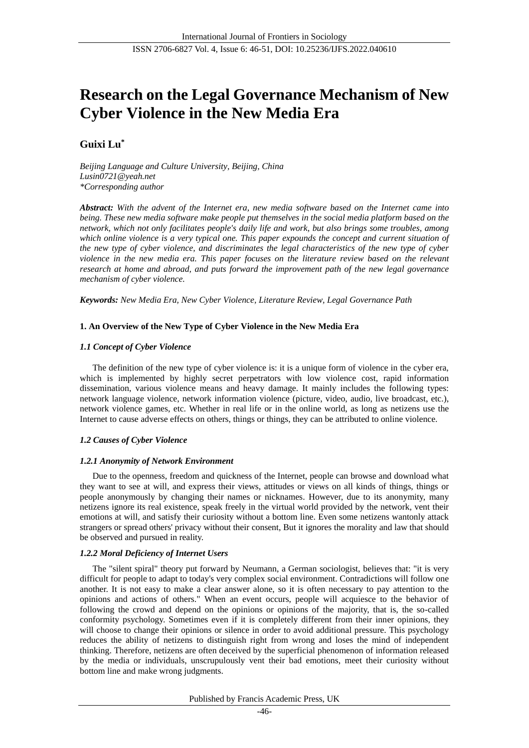# **Research on the Legal Governance Mechanism of New Cyber Violence in the New Media Era**

## **Guixi Lu\***

*Beijing Language and Culture University, Beijing, China Lusin0721@yeah.net \*Corresponding author*

*Abstract: With the advent of the Internet era, new media software based on the Internet came into being. These new media software make people put themselves in the social media platform based on the network, which not only facilitates people's daily life and work, but also brings some troubles, among which online violence is a very typical one. This paper expounds the concept and current situation of the new type of cyber violence, and discriminates the legal characteristics of the new type of cyber violence in the new media era. This paper focuses on the literature review based on the relevant research at home and abroad, and puts forward the improvement path of the new legal governance mechanism of cyber violence.*

*Keywords: New Media Era, New Cyber Violence, Literature Review, Legal Governance Path*

## **1. An Overview of the New Type of Cyber Violence in the New Media Era**

## *1.1 Concept of Cyber Violence*

The definition of the new type of cyber violence is: it is a unique form of violence in the cyber era, which is implemented by highly secret perpetrators with low violence cost, rapid information dissemination, various violence means and heavy damage. It mainly includes the following types: network language violence, network information violence (picture, video, audio, live broadcast, etc.), network violence games, etc. Whether in real life or in the online world, as long as netizens use the Internet to cause adverse effects on others, things or things, they can be attributed to online violence.

## *1.2 Causes of Cyber Violence*

## *1.2.1 Anonymity of Network Environment*

Due to the openness, freedom and quickness of the Internet, people can browse and download what they want to see at will, and express their views, attitudes or views on all kinds of things, things or people anonymously by changing their names or nicknames. However, due to its anonymity, many netizens ignore its real existence, speak freely in the virtual world provided by the network, vent their emotions at will, and satisfy their curiosity without a bottom line. Even some netizens wantonly attack strangers or spread others' privacy without their consent, But it ignores the morality and law that should be observed and pursued in reality.

## *1.2.2 Moral Deficiency of Internet Users*

The "silent spiral" theory put forward by Neumann, a German sociologist, believes that: "it is very difficult for people to adapt to today's very complex social environment. Contradictions will follow one another. It is not easy to make a clear answer alone, so it is often necessary to pay attention to the opinions and actions of others." When an event occurs, people will acquiesce to the behavior of following the crowd and depend on the opinions or opinions of the majority, that is, the so-called conformity psychology. Sometimes even if it is completely different from their inner opinions, they will choose to change their opinions or silence in order to avoid additional pressure. This psychology reduces the ability of netizens to distinguish right from wrong and loses the mind of independent thinking. Therefore, netizens are often deceived by the superficial phenomenon of information released by the media or individuals, unscrupulously vent their bad emotions, meet their curiosity without bottom line and make wrong judgments.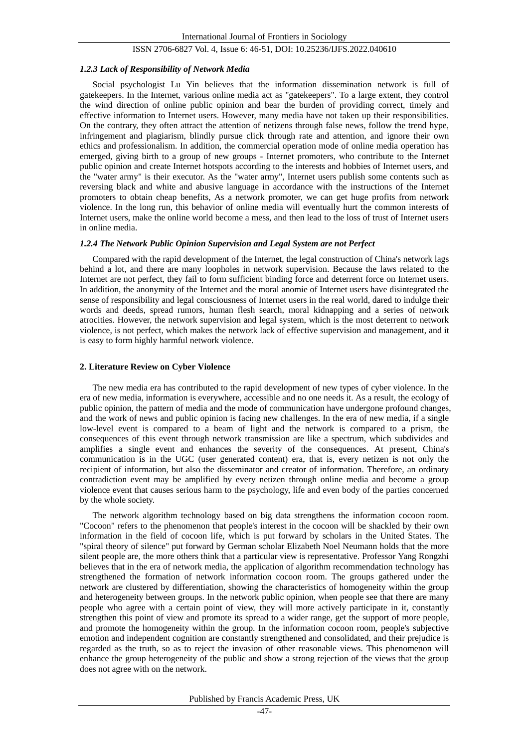#### *1.2.3 Lack of Responsibility of Network Media*

Social psychologist Lu Yin believes that the information dissemination network is full of gatekeepers. In the Internet, various online media act as "gatekeepers". To a large extent, they control the wind direction of online public opinion and bear the burden of providing correct, timely and effective information to Internet users. However, many media have not taken up their responsibilities. On the contrary, they often attract the attention of netizens through false news, follow the trend hype, infringement and plagiarism, blindly pursue click through rate and attention, and ignore their own ethics and professionalism. In addition, the commercial operation mode of online media operation has emerged, giving birth to a group of new groups - Internet promoters, who contribute to the Internet public opinion and create Internet hotspots according to the interests and hobbies of Internet users, and the "water army" is their executor. As the "water army", Internet users publish some contents such as reversing black and white and abusive language in accordance with the instructions of the Internet promoters to obtain cheap benefits, As a network promoter, we can get huge profits from network violence. In the long run, this behavior of online media will eventually hurt the common interests of Internet users, make the online world become a mess, and then lead to the loss of trust of Internet users in online media.

#### *1.2.4 The Network Public Opinion Supervision and Legal System are not Perfect*

Compared with the rapid development of the Internet, the legal construction of China's network lags behind a lot, and there are many loopholes in network supervision. Because the laws related to the Internet are not perfect, they fail to form sufficient binding force and deterrent force on Internet users. In addition, the anonymity of the Internet and the moral anomie of Internet users have disintegrated the sense of responsibility and legal consciousness of Internet users in the real world, dared to indulge their words and deeds, spread rumors, human flesh search, moral kidnapping and a series of network atrocities. However, the network supervision and legal system, which is the most deterrent to network violence, is not perfect, which makes the network lack of effective supervision and management, and it is easy to form highly harmful network violence.

#### **2. Literature Review on Cyber Violence**

The new media era has contributed to the rapid development of new types of cyber violence. In the era of new media, information is everywhere, accessible and no one needs it. As a result, the ecology of public opinion, the pattern of media and the mode of communication have undergone profound changes, and the work of news and public opinion is facing new challenges. In the era of new media, if a single low-level event is compared to a beam of light and the network is compared to a prism, the consequences of this event through network transmission are like a spectrum, which subdivides and amplifies a single event and enhances the severity of the consequences. At present, China's communication is in the UGC (user generated content) era, that is, every netizen is not only the recipient of information, but also the disseminator and creator of information. Therefore, an ordinary contradiction event may be amplified by every netizen through online media and become a group violence event that causes serious harm to the psychology, life and even body of the parties concerned by the whole society.

The network algorithm technology based on big data strengthens the information cocoon room. "Cocoon" refers to the phenomenon that people's interest in the cocoon will be shackled by their own information in the field of cocoon life, which is put forward by scholars in the United States. The "spiral theory of silence" put forward by German scholar Elizabeth Noel Neumann holds that the more silent people are, the more others think that a particular view is representative. Professor Yang Rongzhi believes that in the era of network media, the application of algorithm recommendation technology has strengthened the formation of network information cocoon room. The groups gathered under the network are clustered by differentiation, showing the characteristics of homogeneity within the group and heterogeneity between groups. In the network public opinion, when people see that there are many people who agree with a certain point of view, they will more actively participate in it, constantly strengthen this point of view and promote its spread to a wider range, get the support of more people, and promote the homogeneity within the group. In the information cocoon room, people's subjective emotion and independent cognition are constantly strengthened and consolidated, and their prejudice is regarded as the truth, so as to reject the invasion of other reasonable views. This phenomenon will enhance the group heterogeneity of the public and show a strong rejection of the views that the group does not agree with on the network.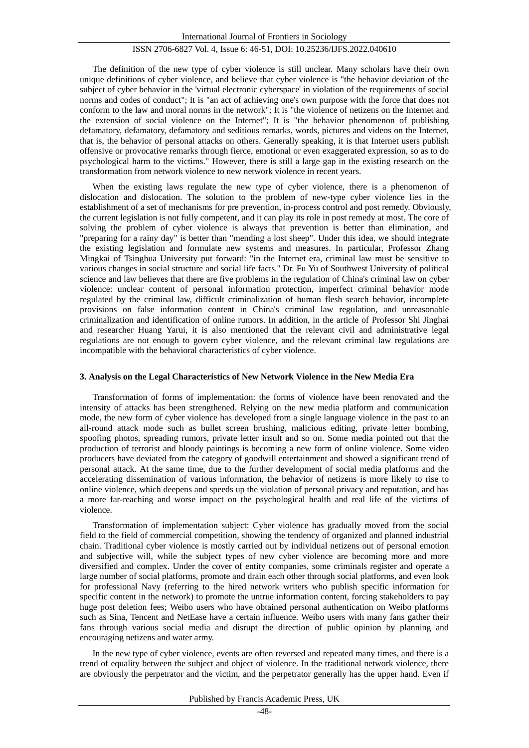The definition of the new type of cyber violence is still unclear. Many scholars have their own unique definitions of cyber violence, and believe that cyber violence is "the behavior deviation of the subject of cyber behavior in the 'virtual electronic cyberspace' in violation of the requirements of social norms and codes of conduct"; It is "an act of achieving one's own purpose with the force that does not conform to the law and moral norms in the network"; It is "the violence of netizens on the Internet and the extension of social violence on the Internet"; It is "the behavior phenomenon of publishing defamatory, defamatory, defamatory and seditious remarks, words, pictures and videos on the Internet, that is, the behavior of personal attacks on others. Generally speaking, it is that Internet users publish offensive or provocative remarks through fierce, emotional or even exaggerated expression, so as to do psychological harm to the victims." However, there is still a large gap in the existing research on the transformation from network violence to new network violence in recent years.

When the existing laws regulate the new type of cyber violence, there is a phenomenon of dislocation and dislocation. The solution to the problem of new-type cyber violence lies in the establishment of a set of mechanisms for pre prevention, in-process control and post remedy. Obviously, the current legislation is not fully competent, and it can play its role in post remedy at most. The core of solving the problem of cyber violence is always that prevention is better than elimination, and "preparing for a rainy day" is better than "mending a lost sheep". Under this idea, we should integrate the existing legislation and formulate new systems and measures. In particular, Professor Zhang Mingkai of Tsinghua University put forward: "in the Internet era, criminal law must be sensitive to various changes in social structure and social life facts." Dr. Fu Yu of Southwest University of political science and law believes that there are five problems in the regulation of China's criminal law on cyber violence: unclear content of personal information protection, imperfect criminal behavior mode regulated by the criminal law, difficult criminalization of human flesh search behavior, incomplete provisions on false information content in China's criminal law regulation, and unreasonable criminalization and identification of online rumors. In addition, in the article of Professor Shi Jinghai and researcher Huang Yarui, it is also mentioned that the relevant civil and administrative legal regulations are not enough to govern cyber violence, and the relevant criminal law regulations are incompatible with the behavioral characteristics of cyber violence.

#### **3. Analysis on the Legal Characteristics of New Network Violence in the New Media Era**

Transformation of forms of implementation: the forms of violence have been renovated and the intensity of attacks has been strengthened. Relying on the new media platform and communication mode, the new form of cyber violence has developed from a single language violence in the past to an all-round attack mode such as bullet screen brushing, malicious editing, private letter bombing, spoofing photos, spreading rumors, private letter insult and so on. Some media pointed out that the production of terrorist and bloody paintings is becoming a new form of online violence. Some video producers have deviated from the category of goodwill entertainment and showed a significant trend of personal attack. At the same time, due to the further development of social media platforms and the accelerating dissemination of various information, the behavior of netizens is more likely to rise to online violence, which deepens and speeds up the violation of personal privacy and reputation, and has a more far-reaching and worse impact on the psychological health and real life of the victims of violence.

Transformation of implementation subject: Cyber violence has gradually moved from the social field to the field of commercial competition, showing the tendency of organized and planned industrial chain. Traditional cyber violence is mostly carried out by individual netizens out of personal emotion and subjective will, while the subject types of new cyber violence are becoming more and more diversified and complex. Under the cover of entity companies, some criminals register and operate a large number of social platforms, promote and drain each other through social platforms, and even look for professional Navy (referring to the hired network writers who publish specific information for specific content in the network) to promote the untrue information content, forcing stakeholders to pay huge post deletion fees; Weibo users who have obtained personal authentication on Weibo platforms such as Sina, Tencent and NetEase have a certain influence. Weibo users with many fans gather their fans through various social media and disrupt the direction of public opinion by planning and encouraging netizens and water army.

In the new type of cyber violence, events are often reversed and repeated many times, and there is a trend of equality between the subject and object of violence. In the traditional network violence, there are obviously the perpetrator and the victim, and the perpetrator generally has the upper hand. Even if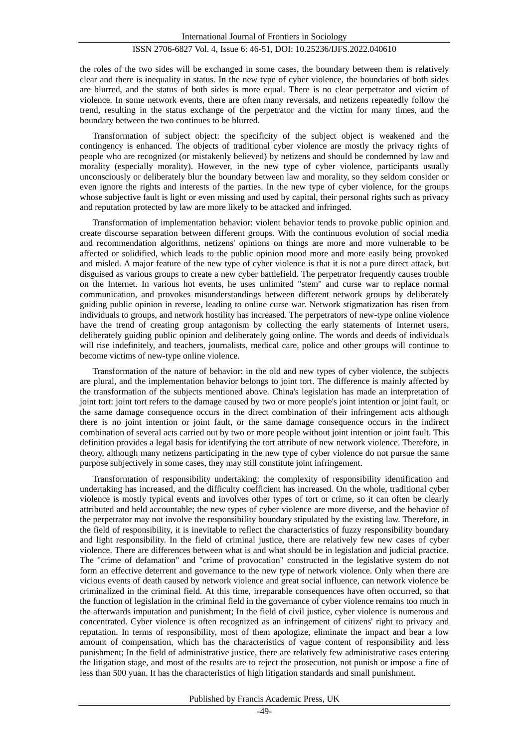the roles of the two sides will be exchanged in some cases, the boundary between them is relatively clear and there is inequality in status. In the new type of cyber violence, the boundaries of both sides are blurred, and the status of both sides is more equal. There is no clear perpetrator and victim of violence. In some network events, there are often many reversals, and netizens repeatedly follow the trend, resulting in the status exchange of the perpetrator and the victim for many times, and the boundary between the two continues to be blurred.

Transformation of subject object: the specificity of the subject object is weakened and the contingency is enhanced. The objects of traditional cyber violence are mostly the privacy rights of people who are recognized (or mistakenly believed) by netizens and should be condemned by law and morality (especially morality). However, in the new type of cyber violence, participants usually unconsciously or deliberately blur the boundary between law and morality, so they seldom consider or even ignore the rights and interests of the parties. In the new type of cyber violence, for the groups whose subjective fault is light or even missing and used by capital, their personal rights such as privacy and reputation protected by law are more likely to be attacked and infringed.

Transformation of implementation behavior: violent behavior tends to provoke public opinion and create discourse separation between different groups. With the continuous evolution of social media and recommendation algorithms, netizens' opinions on things are more and more vulnerable to be affected or solidified, which leads to the public opinion mood more and more easily being provoked and misled. A major feature of the new type of cyber violence is that it is not a pure direct attack, but disguised as various groups to create a new cyber battlefield. The perpetrator frequently causes trouble on the Internet. In various hot events, he uses unlimited "stem" and curse war to replace normal communication, and provokes misunderstandings between different network groups by deliberately guiding public opinion in reverse, leading to online curse war. Network stigmatization has risen from individuals to groups, and network hostility has increased. The perpetrators of new-type online violence have the trend of creating group antagonism by collecting the early statements of Internet users, deliberately guiding public opinion and deliberately going online. The words and deeds of individuals will rise indefinitely, and teachers, journalists, medical care, police and other groups will continue to become victims of new-type online violence.

Transformation of the nature of behavior: in the old and new types of cyber violence, the subjects are plural, and the implementation behavior belongs to joint tort. The difference is mainly affected by the transformation of the subjects mentioned above. China's legislation has made an interpretation of joint tort: joint tort refers to the damage caused by two or more people's joint intention or joint fault, or the same damage consequence occurs in the direct combination of their infringement acts although there is no joint intention or joint fault, or the same damage consequence occurs in the indirect combination of several acts carried out by two or more people without joint intention or joint fault. This definition provides a legal basis for identifying the tort attribute of new network violence. Therefore, in theory, although many netizens participating in the new type of cyber violence do not pursue the same purpose subjectively in some cases, they may still constitute joint infringement.

Transformation of responsibility undertaking: the complexity of responsibility identification and undertaking has increased, and the difficulty coefficient has increased. On the whole, traditional cyber violence is mostly typical events and involves other types of tort or crime, so it can often be clearly attributed and held accountable; the new types of cyber violence are more diverse, and the behavior of the perpetrator may not involve the responsibility boundary stipulated by the existing law. Therefore, in the field of responsibility, it is inevitable to reflect the characteristics of fuzzy responsibility boundary and light responsibility. In the field of criminal justice, there are relatively few new cases of cyber violence. There are differences between what is and what should be in legislation and judicial practice. The "crime of defamation" and "crime of provocation" constructed in the legislative system do not form an effective deterrent and governance to the new type of network violence. Only when there are vicious events of death caused by network violence and great social influence, can network violence be criminalized in the criminal field. At this time, irreparable consequences have often occurred, so that the function of legislation in the criminal field in the governance of cyber violence remains too much in the afterwards imputation and punishment; In the field of civil justice, cyber violence is numerous and concentrated. Cyber violence is often recognized as an infringement of citizens' right to privacy and reputation. In terms of responsibility, most of them apologize, eliminate the impact and bear a low amount of compensation, which has the characteristics of vague content of responsibility and less punishment; In the field of administrative justice, there are relatively few administrative cases entering the litigation stage, and most of the results are to reject the prosecution, not punish or impose a fine of less than 500 yuan. It has the characteristics of high litigation standards and small punishment.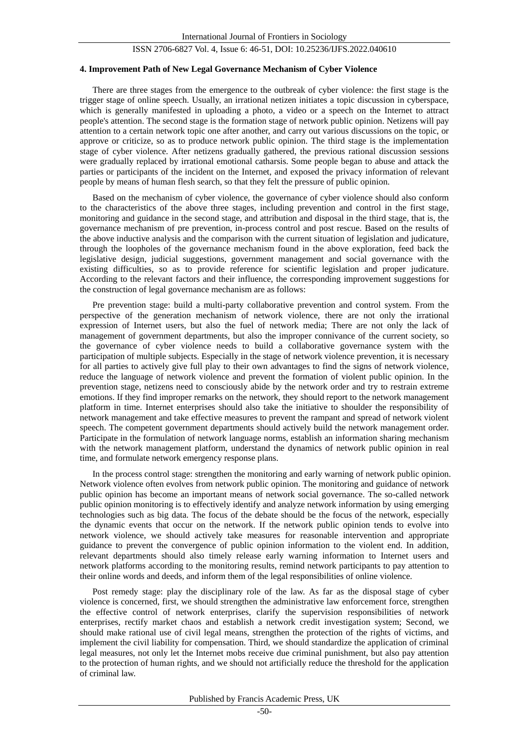#### **4. Improvement Path of New Legal Governance Mechanism of Cyber Violence**

There are three stages from the emergence to the outbreak of cyber violence: the first stage is the trigger stage of online speech. Usually, an irrational netizen initiates a topic discussion in cyberspace, which is generally manifested in uploading a photo, a video or a speech on the Internet to attract people's attention. The second stage is the formation stage of network public opinion. Netizens will pay attention to a certain network topic one after another, and carry out various discussions on the topic, or approve or criticize, so as to produce network public opinion. The third stage is the implementation stage of cyber violence. After netizens gradually gathered, the previous rational discussion sessions were gradually replaced by irrational emotional catharsis. Some people began to abuse and attack the parties or participants of the incident on the Internet, and exposed the privacy information of relevant people by means of human flesh search, so that they felt the pressure of public opinion.

Based on the mechanism of cyber violence, the governance of cyber violence should also conform to the characteristics of the above three stages, including prevention and control in the first stage, monitoring and guidance in the second stage, and attribution and disposal in the third stage, that is, the governance mechanism of pre prevention, in-process control and post rescue. Based on the results of the above inductive analysis and the comparison with the current situation of legislation and judicature, through the loopholes of the governance mechanism found in the above exploration, feed back the legislative design, judicial suggestions, government management and social governance with the existing difficulties, so as to provide reference for scientific legislation and proper judicature. According to the relevant factors and their influence, the corresponding improvement suggestions for the construction of legal governance mechanism are as follows:

Pre prevention stage: build a multi-party collaborative prevention and control system. From the perspective of the generation mechanism of network violence, there are not only the irrational expression of Internet users, but also the fuel of network media; There are not only the lack of management of government departments, but also the improper connivance of the current society, so the governance of cyber violence needs to build a collaborative governance system with the participation of multiple subjects. Especially in the stage of network violence prevention, it is necessary for all parties to actively give full play to their own advantages to find the signs of network violence, reduce the language of network violence and prevent the formation of violent public opinion. In the prevention stage, netizens need to consciously abide by the network order and try to restrain extreme emotions. If they find improper remarks on the network, they should report to the network management platform in time. Internet enterprises should also take the initiative to shoulder the responsibility of network management and take effective measures to prevent the rampant and spread of network violent speech. The competent government departments should actively build the network management order. Participate in the formulation of network language norms, establish an information sharing mechanism with the network management platform, understand the dynamics of network public opinion in real time, and formulate network emergency response plans.

In the process control stage: strengthen the monitoring and early warning of network public opinion. Network violence often evolves from network public opinion. The monitoring and guidance of network public opinion has become an important means of network social governance. The so-called network public opinion monitoring is to effectively identify and analyze network information by using emerging technologies such as big data. The focus of the debate should be the focus of the network, especially the dynamic events that occur on the network. If the network public opinion tends to evolve into network violence, we should actively take measures for reasonable intervention and appropriate guidance to prevent the convergence of public opinion information to the violent end. In addition, relevant departments should also timely release early warning information to Internet users and network platforms according to the monitoring results, remind network participants to pay attention to their online words and deeds, and inform them of the legal responsibilities of online violence.

Post remedy stage: play the disciplinary role of the law. As far as the disposal stage of cyber violence is concerned, first, we should strengthen the administrative law enforcement force, strengthen the effective control of network enterprises, clarify the supervision responsibilities of network enterprises, rectify market chaos and establish a network credit investigation system; Second, we should make rational use of civil legal means, strengthen the protection of the rights of victims, and implement the civil liability for compensation. Third, we should standardize the application of criminal legal measures, not only let the Internet mobs receive due criminal punishment, but also pay attention to the protection of human rights, and we should not artificially reduce the threshold for the application of criminal law.